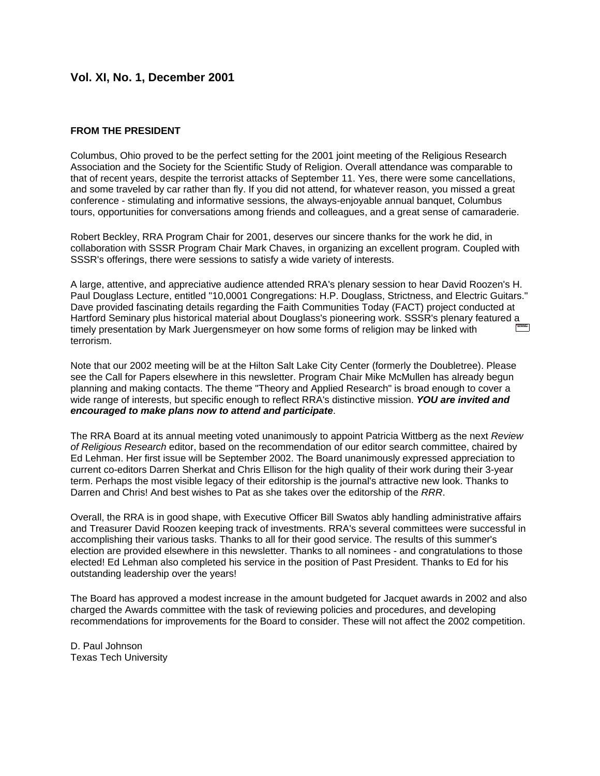# **Vol. XI, No. 1, December 2001**

# **FROM THE PRESIDENT**

Columbus, Ohio proved to be the perfect setting for the 2001 joint meeting of the Religious Research Association and the Society for the Scientific Study of Religion. Overall attendance was comparable to that of recent years, despite the terrorist attacks of September 11. Yes, there were some cancellations, and some traveled by car rather than fly. If you did not attend, for whatever reason, you missed a great conference - stimulating and informative sessions, the always-enjoyable annual banquet, Columbus tours, opportunities for conversations among friends and colleagues, and a great sense of camaraderie.

Robert Beckley, RRA Program Chair for 2001, deserves our sincere thanks for the work he did, in collaboration with SSSR Program Chair Mark Chaves, in organizing an excellent program. Coupled with SSSR's offerings, there were sessions to satisfy a wide variety of interests.

A large, attentive, and appreciative audience attended RRA's plenary session to hear David Roozen's H. Paul Douglass Lecture, entitled "10,0001 Congregations: H.P. Douglass, Strictness, and Electric Guitars." Dave provided fascinating details regarding the Faith Communities Today (FACT) project conducted at Hartford Seminary plus historical material about Douglass's pioneering work. SSSR's plenary featured a timely presentation by Mark Juergensmeyer on how some forms of religion may be linked with terrorism.

Note that our 2002 meeting will be at the Hilton Salt Lake City Center (formerly the Doubletree). Please see the Call for Papers elsewhere in this newsletter. Program Chair Mike McMullen has already begun planning and making contacts. The theme "Theory and Applied Research" is broad enough to cover a wide range of interests, but specific enough to reflect RRA's distinctive mission. *YOU are invited and encouraged to make plans now to attend and participate*.

The RRA Board at its annual meeting voted unanimously to appoint Patricia Wittberg as the next *Review of Religious Research* editor, based on the recommendation of our editor search committee, chaired by Ed Lehman. Her first issue will be September 2002. The Board unanimously expressed appreciation to current co-editors Darren Sherkat and Chris Ellison for the high quality of their work during their 3-year term. Perhaps the most visible legacy of their editorship is the journal's attractive new look. Thanks to Darren and Chris! And best wishes to Pat as she takes over the editorship of the *RRR*.

Overall, the RRA is in good shape, with Executive Officer Bill Swatos ably handling administrative affairs and Treasurer David Roozen keeping track of investments. RRA's several committees were successful in accomplishing their various tasks. Thanks to all for their good service. The results of this summer's election are provided elsewhere in this newsletter. Thanks to all nominees - and congratulations to those elected! Ed Lehman also completed his service in the position of Past President. Thanks to Ed for his outstanding leadership over the years!

The Board has approved a modest increase in the amount budgeted for Jacquet awards in 2002 and also charged the Awards committee with the task of reviewing policies and procedures, and developing recommendations for improvements for the Board to consider. These will not affect the 2002 competition.

D. Paul Johnson Texas Tech University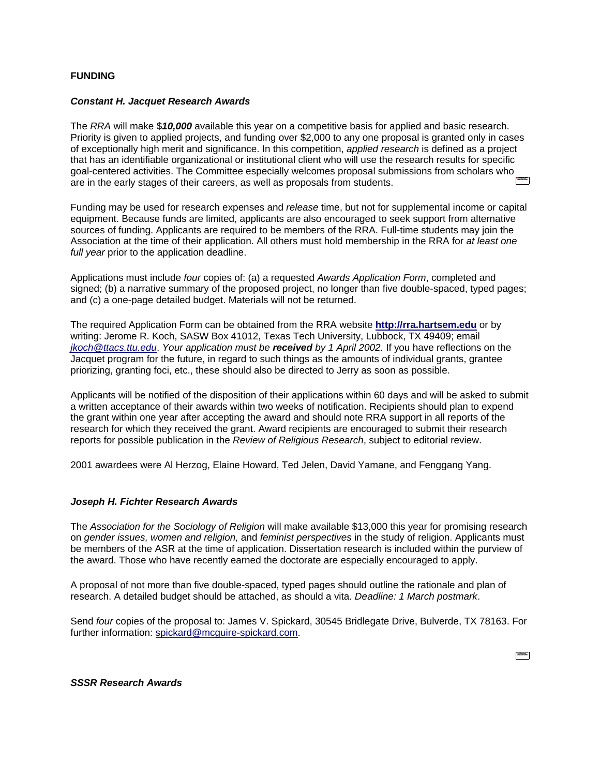# **FUNDING**

### *Constant H. Jacquet Research Awards*

The *RRA* will make \$*10,000* available this year on a competitive basis for applied and basic research. Priority is given to applied projects, and funding over \$2,000 to any one proposal is granted only in cases of exceptionally high merit and significance. In this competition, *applied research* is defined as a project that has an identifiable organizational or institutional client who will use the research results for specific goal-centered activities. The Committee especially welcomes proposal submissions from scholars who are in the early stages of their careers, as well as proposals from students.

Funding may be used for research expenses and *release* time, but not for supplemental income or capital equipment. Because funds are limited, applicants are also encouraged to seek support from alternative sources of funding. Applicants are required to be members of the RRA. Full-time students may join the Association at the time of their application. All others must hold membership in the RRA for *at least one full year* prior to the application deadline.

Applications must include *four* copies of: (a) a requested *Awards Application Form*, completed and signed; (b) a narrative summary of the proposed project, no longer than five double-spaced, typed pages; and (c) a one-page detailed budget. Materials will not be returned.

The required Application Form can be obtained from the RRA website **[http://rra.hartsem.edu](http://rra.hartsem.edu/)** or by writing: Jerome R. Koch, SASW Box 41012, Texas Tech University, Lubbock, TX 49409; email *[jkoch@ttacs.ttu.edu](mailto:jkoch@ttacs.ttu.edu)*. *Your application must be received by 1 April 2002.* If you have reflections on the Jacquet program for the future, in regard to such things as the amounts of individual grants, grantee priorizing, granting foci, etc., these should also be directed to Jerry as soon as possible.

Applicants will be notified of the disposition of their applications within 60 days and will be asked to submit a written acceptance of their awards within two weeks of notification. Recipients should plan to expend the grant within one year after accepting the award and should note RRA support in all reports of the research for which they received the grant. Award recipients are encouraged to submit their research reports for possible publication in the *Review of Religious Research*, subject to editorial review.

2001 awardees were Al Herzog, Elaine Howard, Ted Jelen, David Yamane, and Fenggang Yang.

# *Joseph H. Fichter Research Awards*

The *Association for the Sociology of Religion* will make available \$13,000 this year for promising research on *gender issues, women and religion,* and *feminist perspectives* in the study of religion. Applicants must be members of the ASR at the time of application. Dissertation research is included within the purview of the award. Those who have recently earned the doctorate are especially encouraged to apply.

A proposal of not more than five double-spaced, typed pages should outline the rationale and plan of research. A detailed budget should be attached, as should a vita. *Deadline: 1 March postmark*.

Send *four* copies of the proposal to: James V. Spickard, 30545 Bridlegate Drive, Bulverde, TX 78163. For further information: [spickard@mcguire-spickard.com.](mailto:spickard@mcguire-spickard.com)

 $\frac{1}{2}$  and  $\frac{1}{2}$ 

*SSSR Research Awards*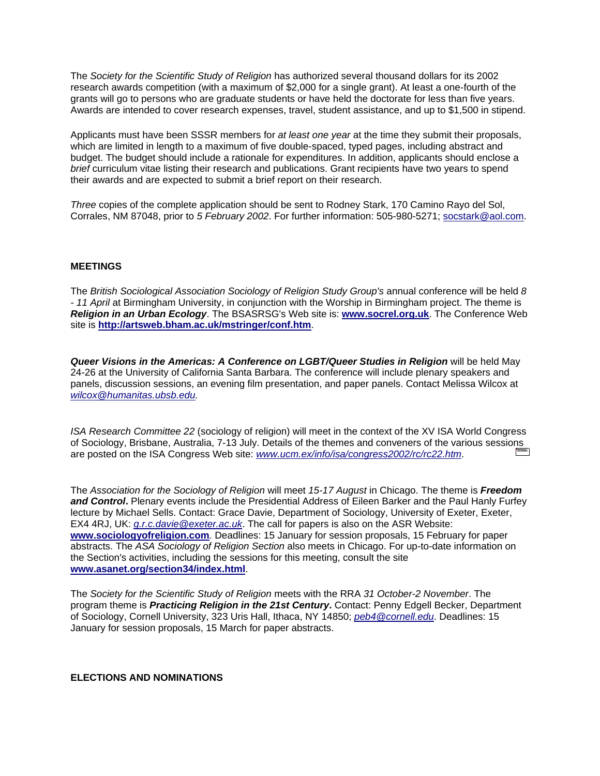The *Society for the Scientific Study of Religion* has authorized several thousand dollars for its 2002 research awards competition (with a maximum of \$2,000 for a single grant). At least a one-fourth of the grants will go to persons who are graduate students or have held the doctorate for less than five years. Awards are intended to cover research expenses, travel, student assistance, and up to \$1,500 in stipend.

Applicants must have been SSSR members for *at least one year* at the time they submit their proposals, which are limited in length to a maximum of five double-spaced, typed pages, including abstract and budget. The budget should include a rationale for expenditures. In addition, applicants should enclose a *brief* curriculum vitae listing their research and publications. Grant recipients have two years to spend their awards and are expected to submit a brief report on their research.

*Three* copies of the complete application should be sent to Rodney Stark, 170 Camino Rayo del Sol, Corrales, NM 87048, prior to *5 February 2002*. For further information: 505-980-5271; [socstark@aol.com.](mailto:socstark@aol.com)

# **MEETINGS**

The *British Sociological Association Sociology of Religion Study Group's* annual conference will be held *8 - 11 April* at Birmingham University, in conjunction with the Worship in Birmingham project. The theme is *Religion in an Urban Ecology*. The BSASRSG's Web site is: **[www.socrel.org.uk](http://www.socrel.org.uk/)**. The Conference Web site is **<http://artsweb.bham.ac.uk/mstringer/conf.htm>**.

*Queer Visions in the Americas: A Conference on LGBT/Queer Studies in Religion* will be held May 24-26 at the University of California Santa Barbara. The conference will include plenary speakers and panels, discussion sessions, an evening film presentation, and paper panels. Contact Melissa Wilcox at *[wilcox@humanitas.ubsb.edu.](mailto:wilcox@humanitas.ubsb.edu)*

*ISA Research Committee 22* (sociology of religion) will meet in the context of the XV ISA World Congress of Sociology, Brisbane, Australia, 7-13 July. Details of the themes and conveners of the various sessions are posted on the ISA Congress Web site: *<www.ucm.ex/info/isa/congress2002/rc/rc22.htm>*.

The *Association for the Sociology of Religion* will meet *15-17 August* in Chicago. The theme is *Freedom and Control***.** Plenary events include the Presidential Address of Eileen Barker and the Paul Hanly Furfey lecture by Michael Sells. Contact: Grace Davie, Department of Sociology, University of Exeter, Exeter, EX4 4RJ, UK: *[g.r.c.davie@exeter.ac.uk](mailto:g.r.c.davie@exeter.ac.uk)*. The call for papers is also on the ASR Website: **[www.sociologyofreligion.com](http://www.sociologyofreligion.com/)***.* Deadlines: 15 January for session proposals, 15 February for paper abstracts. The *ASA Sociology of Religion Section* also meets in Chicago. For up-to-date information on the Section's activities, including the sessions for this meeting, consult the site **www.asanet.org/section34/index.html**.

The *Society for the Scientific Study of Religion* meets with the RRA *31 October-2 November*. The program theme is *Practicing Religion in the 21st Century***.** Contact: Penny Edgell Becker, Department of Sociology, Cornell University, 323 Uris Hall, Ithaca, NY 14850; *[peb4@cornell.edu](mailto:peb4@cornell.edu)*. Deadlines: 15 January for session proposals, 15 March for paper abstracts.

#### **ELECTIONS AND NOMINATIONS**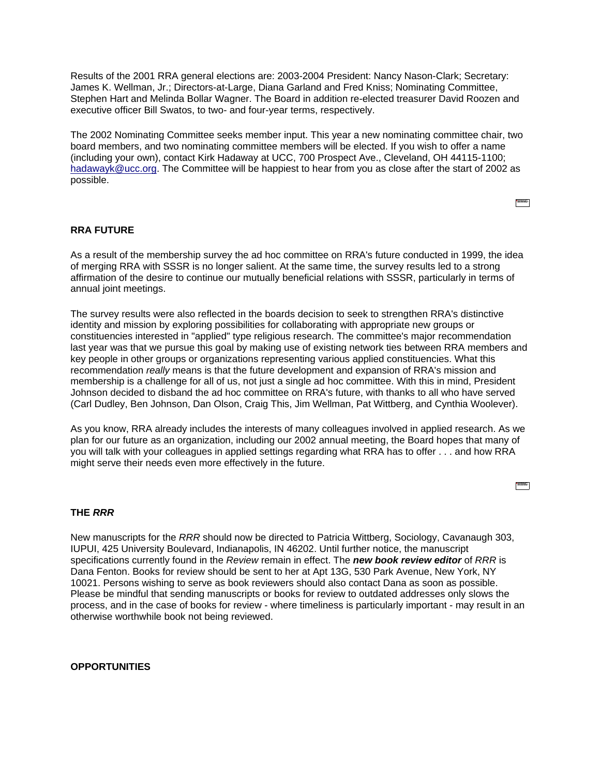Results of the 2001 RRA general elections are: 2003-2004 President: Nancy Nason-Clark; Secretary: James K. Wellman, Jr.; Directors-at-Large, Diana Garland and Fred Kniss; Nominating Committee, Stephen Hart and Melinda Bollar Wagner. The Board in addition re-elected treasurer David Roozen and executive officer Bill Swatos, to two- and four-year terms, respectively.

The 2002 Nominating Committee seeks member input. This year a new nominating committee chair, two board members, and two nominating committee members will be elected. If you wish to offer a name (including your own), contact Kirk Hadaway at UCC, 700 Prospect Ave., Cleveland, OH 44115-1100; [hadawayk@ucc.org.](mailto:hadawayk@ucc.org) The Committee will be happiest to hear from you as close after the start of 2002 as possible.

**STATISTICS** 

 $\frac{1}{2}$  (MSSS).

# **RRA FUTURE**

As a result of the membership survey the ad hoc committee on RRA's future conducted in 1999, the idea of merging RRA with SSSR is no longer salient. At the same time, the survey results led to a strong affirmation of the desire to continue our mutually beneficial relations with SSSR, particularly in terms of annual joint meetings.

The survey results were also reflected in the boards decision to seek to strengthen RRA's distinctive identity and mission by exploring possibilities for collaborating with appropriate new groups or constituencies interested in "applied" type religious research. The committee's major recommendation last year was that we pursue this goal by making use of existing network ties between RRA members and key people in other groups or organizations representing various applied constituencies. What this recommendation *really* means is that the future development and expansion of RRA's mission and membership is a challenge for all of us, not just a single ad hoc committee. With this in mind, President Johnson decided to disband the ad hoc committee on RRA's future, with thanks to all who have served (Carl Dudley, Ben Johnson, Dan Olson, Craig This, Jim Wellman, Pat Wittberg, and Cynthia Woolever).

As you know, RRA already includes the interests of many colleagues involved in applied research. As we plan for our future as an organization, including our 2002 annual meeting, the Board hopes that many of you will talk with your colleagues in applied settings regarding what RRA has to offer . . . and how RRA might serve their needs even more effectively in the future.

#### **THE** *RRR*

New manuscripts for the *RRR* should now be directed to Patricia Wittberg, Sociology, Cavanaugh 303, IUPUI, 425 University Boulevard, Indianapolis, IN 46202. Until further notice, the manuscript specifications currently found in the *Review* remain in effect. The *new book review editor* of *RRR* is Dana Fenton. Books for review should be sent to her at Apt 13G, 530 Park Avenue, New York, NY 10021. Persons wishing to serve as book reviewers should also contact Dana as soon as possible. Please be mindful that sending manuscripts or books for review to outdated addresses only slows the process, and in the case of books for review - where timeliness is particularly important - may result in an otherwise worthwhile book not being reviewed.

#### **OPPORTUNITIES**